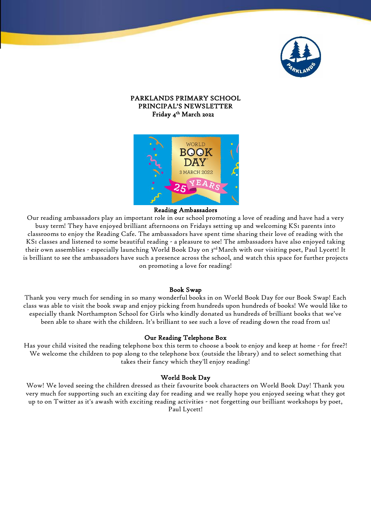

# PARKLANDS PRIMARY SCHOOL PRINCIPAL'S NEWSLETTER Friday 4 th March 2022



### Reading Ambassadors

Our reading ambassadors play an important role in our school promoting a love of reading and have had a very busy term! They have enjoyed brilliant afternoons on Fridays setting up and welcoming KS1 parents into classrooms to enjoy the Reading Cafe. The ambassadors have spent time sharing their love of reading with the KS1 classes and listened to some beautiful reading - a pleasure to see! The ambassadors have also enjoyed taking their own assemblies - especially launching World Book Day on 3rd March with our visiting poet, Paul Lycett! It is brilliant to see the ambassadors have such a presence across the school, and watch this space for further projects on promoting a love for reading!

### Book Swap

Thank you very much for sending in so many wonderful books in on World Book Day for our Book Swap! Each class was able to visit the book swap and enjoy picking from hundreds upon hundreds of books! We would like to especially thank Northampton School for Girls who kindly donated us hundreds of brilliant books that we've been able to share with the children. It's brilliant to see such a love of reading down the road from us!

### Our Reading Telephone Box

Has your child visited the reading telephone box this term to choose a book to enjoy and keep at home - for free?! We welcome the children to pop along to the telephone box (outside the library) and to select something that takes their fancy which they'll enjoy reading!

### World Book Day

Wow! We loved seeing the children dressed as their favourite book characters on World Book Day! Thank you very much for supporting such an exciting day for reading and we really hope you enjoyed seeing what they got up to on Twitter as it's awash with exciting reading activities - not forgetting our brilliant workshops by poet, Paul Lycett!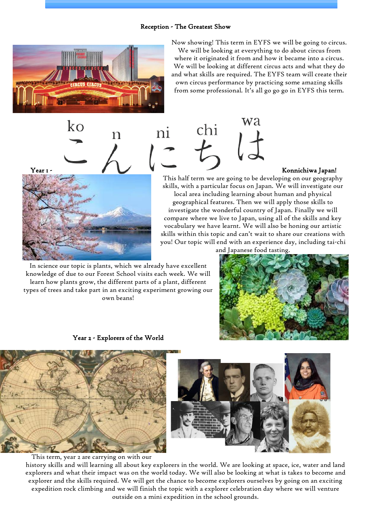# **2** Reception - The Greatest Show



 $k_{\rm O}$ 

Now showing! This term in EYFS we will be going to circus.

We will be looking at everything to do about circus from where it originated it from and how it became into a circus. We will be looking at different circus acts and what they do and what skills are required. The EYFS team will create their own circus performance by practicing some amazing skills from some professional. It's all go go go in EYFS this term.



Year 1 - Konnichiwa Japan! This half term we are going to be developing on our geography skills, with a particular focus on Japan. We will investigate our local area including learning about human and physical geographical features. Then we will apply those skills to investigate the wonderful country of Japan. Finally we will compare where we live to Japan, using all of the skills and key vocabulary we have learnt. We will also be honing our artistic skills within this topic and can't wait to share our creations with you! Our topic will end with an experience day, including tai-chi

n

In science our topic is plants, which we already have excellent knowledge of due to our Forest School visits each week. We will learn how plants grow, the different parts of a plant, different types of trees and take part in an exciting experiment growing our own beans!



Year 2 - Explorers of the World



This term, year 2 are carrying on with our

history skills and will learning all about key explorers in the world. We are looking at space, ice, water and land explorers and what their impact was on the world today. We will also be looking at what is takes to become and explorer and the skills required. We will get the chance to become explorers ourselves by going on an exciting expedition rock climbing and we will finish the topic with a explorer celebration day where we will venture outside on a mini expedition in the school grounds.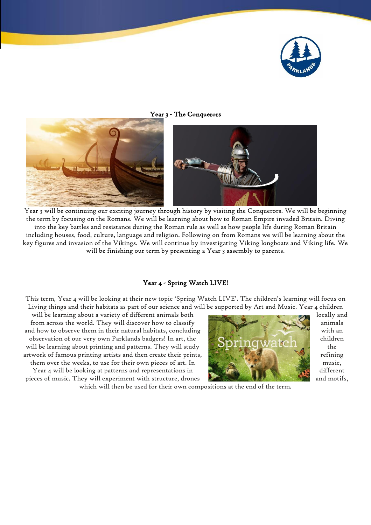

## Year 3 - The Conquerors



Year 3 will be continuing our exciting journey through history by visiting the Conquerors. We will be beginning the term by focusing on the Romans. We will be learning about how to Roman Empire invaded Britain. Diving into the key battles and resistance during the Roman rule as well as how people life during Roman Britain including houses, food, culture, language and religion. Following on from Romans we will be learning about the key figures and invasion of the Vikings. We will continue by investigating Viking longboats and Viking life. We will be finishing our term by presenting a Year 3 assembly to parents.

# Year 4 - Spring Watch LIVE!

This term, Year 4 will be looking at their new topic 'Spring Watch LIVE'. The children's learning will focus on Living things and their habitats as part of our science and will be supported by Art and Music. Year 4 children

will be learning about a variety of different animals both locally and locally and from across the world. They will discover how to classify animals and how to observe them in their natural habitats, concluding with  $\mathbb{R}$ observation of our very own Parklands badgers! In art, the children children children will be learning about printing and patterns. They will study  $\bigcup_{k=1}^{\infty} I_k$ ,  $\bigcup_{k=1}^{\infty} W$  at  $\bigcup_{k=1}^{\infty} I_k$  the artwork of famous printing artists and then create their prints,  $\mathbb{R}^n$ , refining  $\mathbb{R}^n$  refining

Year 4 will be looking at patterns and representations in  $\mathbb{R}$  different different pieces of music. They will experiment with structure, drones and motifs,



which will then be used for their own compositions at the end of the term.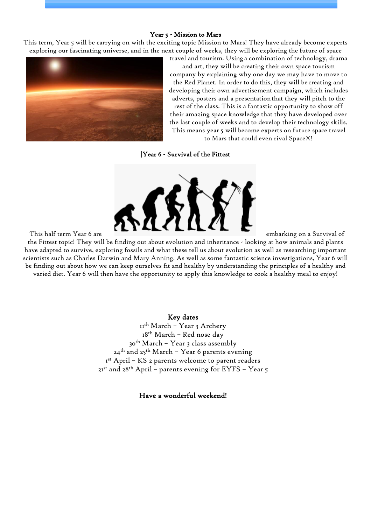### Year 5 - Mission to Mars

This term, Year 5 will be carrying on with the exciting topic Mission to Mars! They have already become experts exploring our fascinating universe, and in the next couple of weeks, they will be exploring the future of space travel and tourism. Using a combination of technology, drama



and art, they will be creating their own space tourism company by explaining why one day we may have to move to the Red Planet. In order to do this, they will be creating and developing their own advertisement campaign, which includes adverts, posters and a presentationthat they will pitch to the rest of the class. This is a fantastic opportunity to show off their amazing space knowledge that they have developed over the last couple of weeks and to develop their technology skills. This means year 5 will become experts on future space travel to Mars that could even rival SpaceX!

|Year 6 - Survival of the Fittest



the Fittest topic! They will be finding out about evolution and inheritance - looking at how animals and plants have adapted to survive, exploring fossils and what these tell us about evolution as well as researching important scientists such as Charles Darwin and Mary Anning. As well as some fantastic science investigations, Year 6 will be finding out about how we can keep ourselves fit and healthy by understanding the principles of a healthy and varied diet. Year 6 will then have the opportunity to apply this knowledge to cook a healthy meal to enjoy!

# Key dates

th March – Year 3 Archery th March – Red nose day th March – Year 3 class assembly 24<sup>th</sup> and 25<sup>th</sup> March - Year 6 parents evening st April – KS 2 parents welcome to parent readers  $21^{st}$  and  $28^{th}$  April – parents evening for EYFS – Year 5

Have a wonderful weekend!